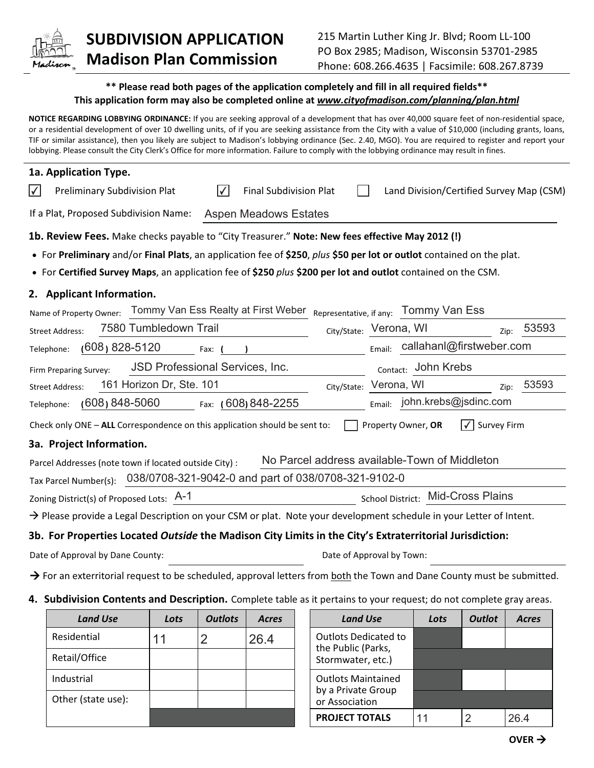

## **SUBDIVISION APPLICATION Madison Plan Commission**

## **\*\* Please read both pages of the application completely and fill in all required fields\*\* This application form may also be completed online at** *www.cityofmadison.com/planning/plan.html*

**NOTICE REGARDING LOBBYING ORDINANCE:** If you are seeking approval of a development that has over 40,000 square feet of non-residential space, or a residential development of over 10 dwelling units, of if you are seeking assistance from the City with a value of \$10,000 (including grants, loans, TIF or similar assistance), then you likely are subject to Madison's lobbying ordinance (Sec. 2.40, MGO). You are required to register and report your lobbying. Please consult the City Clerk's Office for more information. Failure to comply with the lobbying ordinance may result in fines.

| 1a. Application Type.                                                                                                              |                                                        |
|------------------------------------------------------------------------------------------------------------------------------------|--------------------------------------------------------|
| $\vert\blacktriangledown\vert$<br><b>Final Subdivision Plat</b><br><b>Preliminary Subdivision Plat</b><br>Ⅳ                        | Land Division/Certified Survey Map (CSM)               |
| If a Plat, Proposed Subdivision Name:<br><b>Aspen Meadows Estates</b>                                                              |                                                        |
| 1b. Review Fees. Make checks payable to "City Treasurer." Note: New fees effective May 2012 (!)                                    |                                                        |
| • For Preliminary and/or Final Plats, an application fee of \$250, plus \$50 per lot or outlot contained on the plat.              |                                                        |
| • For Certified Survey Maps, an application fee of \$250 plus \$200 per lot and outlot contained on the CSM.                       |                                                        |
| 2. Applicant Information.                                                                                                          |                                                        |
| Tommy Van Ess Realty at First Weber Representative, if any:<br>Name of Property Owner:                                             | Tommy Van Ess                                          |
| 7580 Tumbledown Trail<br><b>Street Address:</b>                                                                                    | 53593<br>City/State: Verona, WI<br>Zip:                |
| $(608)$ 828-5120<br>Telephone:<br>Fax:                                                                                             | callahanl@firstweber.com<br>Email:                     |
| JSD Professional Services, Inc.<br>Firm Preparing Survey:                                                                          | Contact: John Krebs                                    |
| 161 Horizon Dr, Ste. 101<br>City/State:<br><b>Street Address:</b>                                                                  | 53593<br>Verona, WI<br>Zip:                            |
| $(608) 848 - 5060$<br>Fax: (608) 848-2255<br>Telephone:                                                                            | john.krebs@jsdinc.com<br>Email:                        |
| Check only ONE - ALL Correspondence on this application should be sent to:                                                         | Property Owner, OR<br>$\sqrt{\phantom{a}}$ Survey Firm |
| 3a. Project Information.                                                                                                           |                                                        |
| Parcel Addresses (note town if located outside City) :                                                                             | No Parcel address available-Town of Middleton          |
| 038/0708-321-9042-0 and part of 038/0708-321-9102-0<br>Tax Parcel Number(s):                                                       |                                                        |
| Zoning District(s) of Proposed Lots: A-1                                                                                           | School District: Mid-Cross Plains                      |
| $\rightarrow$ Please provide a Legal Description on your CSM or plat. Note your development schedule in your Letter of Intent.     |                                                        |
| 3b. For Properties Located Outside the Madison City Limits in the City's Extraterritorial Jurisdiction:                            |                                                        |
| Date of Approval by Dane County:                                                                                                   | Date of Approval by Town:                              |
| $\rightarrow$ For an exterritorial request to be scheduled, approval letters from both the Town and Dane County must be submitted. |                                                        |

**4. Subdivision Contents and Description.** Complete table as it pertains to your request; do not complete gray areas.

| <b>Land Use</b>    | Lots | <b>Outlots</b> | <b>Acres</b> |                           | <b>Land Use</b>                                   | Lots | <b>Outlot</b> | Acres |
|--------------------|------|----------------|--------------|---------------------------|---------------------------------------------------|------|---------------|-------|
| Residential        | 11   |                | 26.4         |                           | <b>Outlots Dedicated to</b><br>the Public (Parks, |      |               |       |
| Retail/Office      |      |                |              |                           | Stormwater, etc.)                                 |      |               |       |
| Industrial         |      |                |              | <b>Outlots Maintained</b> |                                                   |      |               |       |
| Other (state use): |      |                |              |                           | by a Private Group<br>or Association              |      |               |       |
|                    |      |                |              |                           | <b>PROJECT TOTALS</b>                             | 11   | 2             | 26.4  |